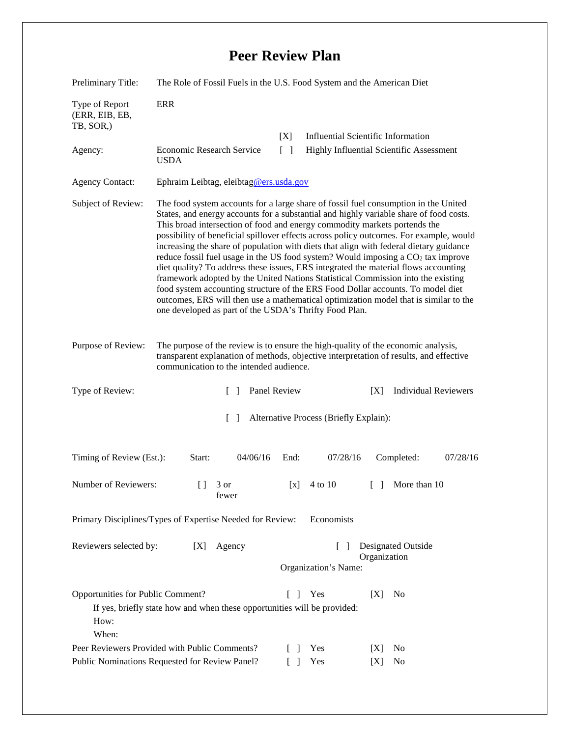## **Peer Review Plan**

| Preliminary Title:                                                                                                                                                                                                                           | The Role of Fossil Fuels in the U.S. Food System and the American Diet                                                                                                                                                                                                                                                                                                                                                                                                                                                                                                                                                                                                                                                                                                                                                                                                                                                                               |                       |                                           |                             |
|----------------------------------------------------------------------------------------------------------------------------------------------------------------------------------------------------------------------------------------------|------------------------------------------------------------------------------------------------------------------------------------------------------------------------------------------------------------------------------------------------------------------------------------------------------------------------------------------------------------------------------------------------------------------------------------------------------------------------------------------------------------------------------------------------------------------------------------------------------------------------------------------------------------------------------------------------------------------------------------------------------------------------------------------------------------------------------------------------------------------------------------------------------------------------------------------------------|-----------------------|-------------------------------------------|-----------------------------|
| Type of Report<br>(ERR, EIB, EB,<br>TB, SOR,)                                                                                                                                                                                                | <b>ERR</b>                                                                                                                                                                                                                                                                                                                                                                                                                                                                                                                                                                                                                                                                                                                                                                                                                                                                                                                                           |                       |                                           |                             |
|                                                                                                                                                                                                                                              |                                                                                                                                                                                                                                                                                                                                                                                                                                                                                                                                                                                                                                                                                                                                                                                                                                                                                                                                                      | [X]                   | <b>Influential Scientific Information</b> |                             |
| Agency:                                                                                                                                                                                                                                      | Economic Research Service<br><b>USDA</b>                                                                                                                                                                                                                                                                                                                                                                                                                                                                                                                                                                                                                                                                                                                                                                                                                                                                                                             | $\lceil \ \rceil$     | Highly Influential Scientific Assessment  |                             |
| <b>Agency Contact:</b>                                                                                                                                                                                                                       | Ephraim Leibtag, eleibtag@ers.usda.gov                                                                                                                                                                                                                                                                                                                                                                                                                                                                                                                                                                                                                                                                                                                                                                                                                                                                                                               |                       |                                           |                             |
| Subject of Review:                                                                                                                                                                                                                           | The food system accounts for a large share of fossil fuel consumption in the United<br>States, and energy accounts for a substantial and highly variable share of food costs.<br>This broad intersection of food and energy commodity markets portends the<br>possibility of beneficial spillover effects across policy outcomes. For example, would<br>increasing the share of population with diets that align with federal dietary guidance<br>reduce fossil fuel usage in the US food system? Would imposing a $CO2$ tax improve<br>diet quality? To address these issues, ERS integrated the material flows accounting<br>framework adopted by the United Nations Statistical Commission into the existing<br>food system accounting structure of the ERS Food Dollar accounts. To model diet<br>outcomes, ERS will then use a mathematical optimization model that is similar to the<br>one developed as part of the USDA's Thrifty Food Plan. |                       |                                           |                             |
| The purpose of the review is to ensure the high-quality of the economic analysis,<br>Purpose of Review:<br>transparent explanation of methods, objective interpretation of results, and effective<br>communication to the intended audience. |                                                                                                                                                                                                                                                                                                                                                                                                                                                                                                                                                                                                                                                                                                                                                                                                                                                                                                                                                      |                       |                                           |                             |
| Type of Review:                                                                                                                                                                                                                              | $\Box$                                                                                                                                                                                                                                                                                                                                                                                                                                                                                                                                                                                                                                                                                                                                                                                                                                                                                                                                               | Panel Review          | [X]                                       | <b>Individual Reviewers</b> |
| Alternative Process (Briefly Explain):<br>$\Box$                                                                                                                                                                                             |                                                                                                                                                                                                                                                                                                                                                                                                                                                                                                                                                                                                                                                                                                                                                                                                                                                                                                                                                      |                       |                                           |                             |
| Timing of Review (Est.):                                                                                                                                                                                                                     | 04/06/16<br>Start:                                                                                                                                                                                                                                                                                                                                                                                                                                                                                                                                                                                                                                                                                                                                                                                                                                                                                                                                   | End:                  | 07/28/16<br>Completed:                    | 07/28/16                    |
| Number of Reviewers:                                                                                                                                                                                                                         | 3 or<br>$\Box$<br>fewer                                                                                                                                                                                                                                                                                                                                                                                                                                                                                                                                                                                                                                                                                                                                                                                                                                                                                                                              | 4 to 10<br>[x]        | $\begin{bmatrix} \end{bmatrix}$           | More than 10                |
| Primary Disciplines/Types of Expertise Needed for Review:<br>Economists                                                                                                                                                                      |                                                                                                                                                                                                                                                                                                                                                                                                                                                                                                                                                                                                                                                                                                                                                                                                                                                                                                                                                      |                       |                                           |                             |
| <b>Designated Outside</b><br>Reviewers selected by:<br>Agency<br>[X]<br>$\Box$<br>Organization<br>Organization's Name:                                                                                                                       |                                                                                                                                                                                                                                                                                                                                                                                                                                                                                                                                                                                                                                                                                                                                                                                                                                                                                                                                                      |                       |                                           |                             |
|                                                                                                                                                                                                                                              |                                                                                                                                                                                                                                                                                                                                                                                                                                                                                                                                                                                                                                                                                                                                                                                                                                                                                                                                                      |                       |                                           |                             |
| Opportunities for Public Comment?<br>How:<br>When:                                                                                                                                                                                           | If yes, briefly state how and when these opportunities will be provided:                                                                                                                                                                                                                                                                                                                                                                                                                                                                                                                                                                                                                                                                                                                                                                                                                                                                             | Yes<br>$\Gamma$<br>-1 | [X]<br>No                                 |                             |
|                                                                                                                                                                                                                                              | Peer Reviewers Provided with Public Comments?                                                                                                                                                                                                                                                                                                                                                                                                                                                                                                                                                                                                                                                                                                                                                                                                                                                                                                        | Yes<br>$\Box$         | No<br>[X]                                 |                             |
|                                                                                                                                                                                                                                              | Public Nominations Requested for Review Panel?                                                                                                                                                                                                                                                                                                                                                                                                                                                                                                                                                                                                                                                                                                                                                                                                                                                                                                       | Yes<br>$\Box$         | No<br>[X]                                 |                             |